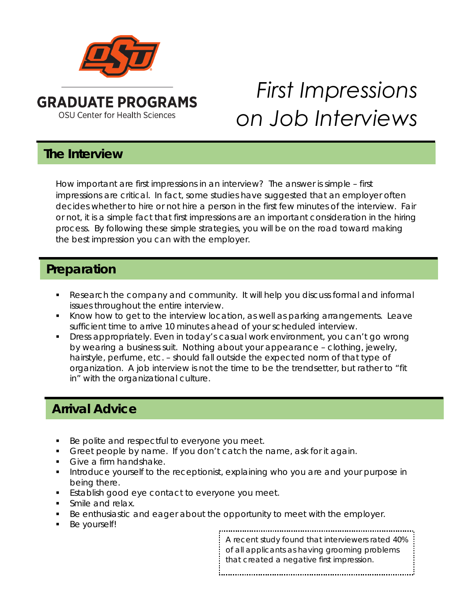

# *First Impressions on Job Interviews*

#### **The Interview**

How important are first impressions in an interview? The answer is simple – first impressions are critical. In fact, some studies have suggested that an employer often decides whether to hire or not hire a person in the first few minutes of the interview. Fair or not, it is a simple fact that first impressions are an important consideration in the hiring process. By following these simple strategies, you will be on the road toward making the best impression you can with the employer.

#### **Preparation**

- Research the company and community. It will help you discuss formal and informal issues throughout the entire interview.
- Know how to get to the interview location, as well as parking arrangements. Leave sufficient time to arrive 10 minutes ahead of your scheduled interview.
- Dress appropriately. Even in today's casual work environment, you can't go wrong by wearing a business suit. Nothing about your appearance – clothing, jewelry, hairstyle, perfume, etc. – should fall outside the expected norm of that type of organization. A job interview is not the time to be the trendsetter, but rather to "fit in" with the organizational culture.

### **Arrival Advice**

- Be polite and respectful to everyone you meet.
- Greet people by name. If you don't catch the name, ask for it again.
- Give a firm handshake.
- **Introduce yourself to the receptionist, explaining who you are and your purpose in** being there.
- **Establish good eye contact to everyone you meet.**
- Smile and relax.
- Be enthusiastic and eager about the opportunity to meet with the employer.
- Be yourself!

A recent study found that interviewers rated 40% of all applicants as having grooming problems that created a negative first impression.